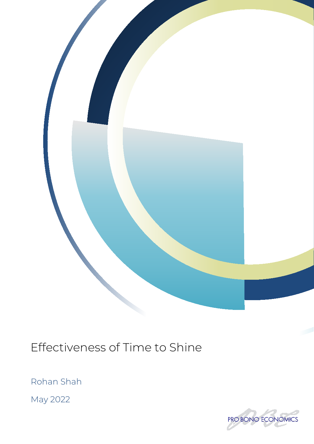

Effectiveness of Time to Shine

Rohan Shah

May 2022

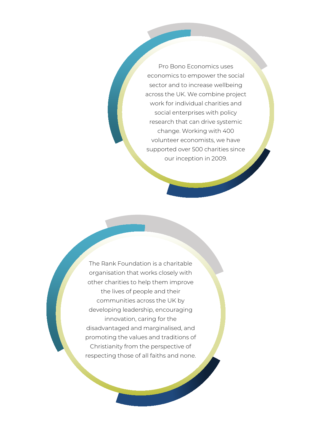Pro Bono Economics uses economics to empower the social sector and to increase wellbeing across the UK. We combine project work for individual charities and social enterprises with policy research that can drive systemic change. Working with 400 volunteer economists, we have supported over 500 charities since our inception in 2009.

The Rank Foundation is a charitable organisation that works closely with other charities to help them improve the lives of people and their communities across the UK by developing leadership, encouraging innovation, caring for the disadvantaged and marginalised, and promoting the values and traditions of Christianity from the perspective of respecting those of all faiths and none.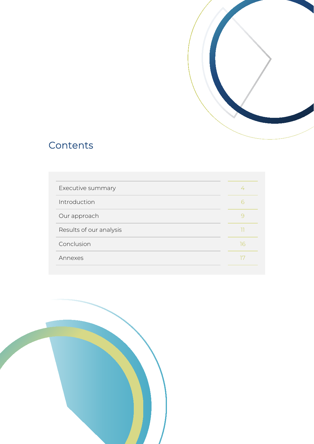

# Contents

| Executive summary       | 4  |
|-------------------------|----|
| Introduction            | 6  |
| Our approach            |    |
| Results of our analysis |    |
| Conclusion              | 16 |
| Annexes                 |    |

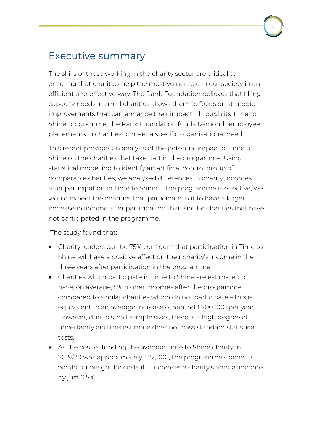# Executive summary

The skills of those working in the charity sector are critical to ensuring that charities help the most vulnerable in our society in an efficient and effective way. The Rank Foundation believes that filling capacity needs in small charities allows them to focus on strategic improvements that can enhance their impact. Through its Time to Shine programme, the Rank Foundation funds 12-month employee placements in charities to meet a specific organisational need.

4

This report provides an analysis of the potential impact of Time to Shine on the charities that take part in the programme. Using statistical modelling to identify an artificial control group of comparable charities, we analysed differences in charity incomes after participation in Time to Shine. If the programme is effective, we would expect the charities that participate in it to have a larger increase in income after participation than similar charities that have not participated in the programme.

The study found that:

- Charity leaders can be 75% confident that participation in Time to Shine will have a positive effect on their charity's income in the three years after participation in the programme.
- Charities which participate in Time to Shine are estimated to have, on average, 5% higher incomes after the programme compared to similar charities which do not participate – this is equivalent to an average increase of around £200,000 per year. However, due to small sample sizes, there is a high degree of uncertainty and this estimate does not pass standard statistical tests.
- As the cost of funding the average Time to Shine charity in 2019/20 was approximately £22,000, the programme's benefits would outweigh the costs if it increases a charity's annual income by just 0.5%.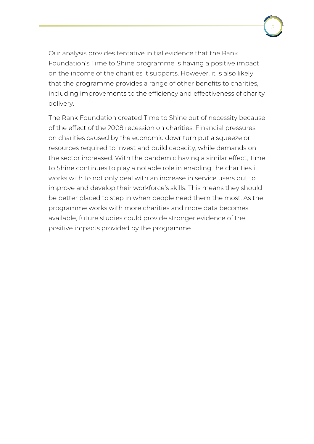Our analysis provides tentative initial evidence that the Rank Foundation's Time to Shine programme is having a positive impact on the income of the charities it supports. However, it is also likely that the programme provides a range of other benefits to charities, including improvements to the efficiency and effectiveness of charity

5

delivery. The Rank Foundation created Time to Shine out of necessity because of the effect of the 2008 recession on charities. Financial pressures on charities caused by the economic downturn put a squeeze on resources required to invest and build capacity, while demands on the sector increased. With the pandemic having a similar effect, Time to Shine continues to play a notable role in enabling the charities it works with to not only deal with an increase in service users but to

improve and develop their workforce's skills. This means they should be better placed to step in when people need them the most. As the programme works with more charities and more data becomes available, future studies could provide stronger evidence of the positive impacts provided by the programme.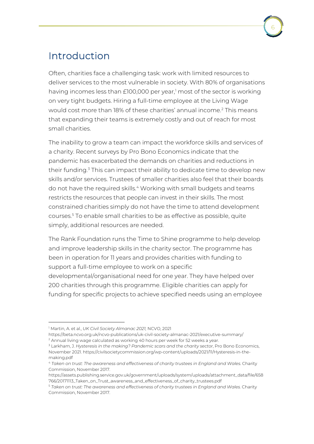# Introduction

Often, charities face a challenging task: work with limited resources to deliver services to the most vulnerable in society. With 80% of organisations having incomes less than £100,000 per year, [1](#page-5-0) most of the sector is working on very tight budgets. Hiring a full-time employee at the Living Wage would cost more than 18% of these charities' annual income.<sup>[2](#page-5-1)</sup> This means that expanding their teams is extremely costly and out of reach for most small charities.

The inability to grow a team can impact the workforce skills and services of a charity. Recent surveys by Pro Bono Economics indicate that the pandemic has exacerbated the demands on charities and reductions in their funding.<sup>[3](#page-5-2)</sup> This can impact their ability to dedicate time to develop new skills and/or services. Trustees of smaller charities also feel that their boards do not have the required skills. [4](#page-5-3) Working with small budgets and teams restricts the resources that people can invest in their skills. The most constrained charities simply do not have the time to attend development courses.[5](#page-5-4) To enable small charities to be as effective as possible, quite simply, additional resources are needed.

The Rank Foundation runs the Time to Shine programme to help develop and improve leadership skills in the charity sector. The programme has been in operation for 11 years and provides charities with funding to support a full-time employee to work on a specific developmental/organisational need for one year. They have helped over 200 charities through this programme. Eligible charities can apply for funding for specific projects to achieve specified needs using an employee

<span id="page-5-0"></span><sup>1</sup> Martin, A. et al., *UK Civil Society Almanac 2021,* NCVO, 2021

https://beta.ncvo.org.uk/ncvo-publications/uk-civil-society-almanac-2021/executive-summary/ <sup>2</sup> Annual living wage calculated as working 40 hours per week for 52 weeks a year.

<span id="page-5-2"></span><span id="page-5-1"></span><sup>3</sup> Larkham, J. *Hysteresis in the making? Pandemic scars and the charity sector*, Pro Bono Economics, November 2021. https://civilsocietycommission.org/wp-content/uploads/2021/11/Hysteresis-in-themaking.pdf

<span id="page-5-3"></span><sup>4</sup> *Taken on trust: The awareness and effectiveness of charity trustees in England and Wales.* Charity Commission, November 2017.

[https://assets.publishing.service.gov.uk/government/uploads/system/uploads/attachment\\_data/file/658](https://assets.publishing.service.gov.uk/government/uploads/system/uploads/attachment_data/file/658766/20171113_Taken_on_Trust_awareness_and_effectiveness_of_charity_trustees.pdf) [766/20171113\\_Taken\\_on\\_Trust\\_awareness\\_and\\_effectiveness\\_of\\_charity\\_trustees.pdf](https://assets.publishing.service.gov.uk/government/uploads/system/uploads/attachment_data/file/658766/20171113_Taken_on_Trust_awareness_and_effectiveness_of_charity_trustees.pdf)

<span id="page-5-4"></span><sup>5</sup> *Taken on trust: The awareness and effectiveness of charity trustees in England and Wales.* Charity Commission, November 2017.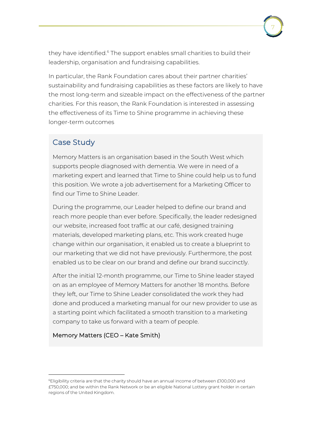they have identified.<sup>[6](#page-6-0)</sup> The support enables small charities to build their leadership, organisation and fundraising capabilities.

7

In particular, the Rank Foundation cares about their partner charities' sustainability and fundraising capabilities as these factors are likely to have the most long-term and sizeable impact on the effectiveness of the partner charities. For this reason, the Rank Foundation is interested in assessing the effectiveness of its Time to Shine programme in achieving these longer-term outcomes

### Case Study

Memory Matters is an organisation based in the South West which supports people diagnosed with dementia. We were in need of a marketing expert and learned that Time to Shine could help us to fund this position. We wrote a job advertisement for a Marketing Officer to find our Time to Shine Leader.

During the programme, our Leader helped to define our brand and reach more people than ever before. Specifically, the leader redesigned our website, increased foot traffic at our café, designed training materials, developed marketing plans, etc. This work created huge change within our organisation, it enabled us to create a blueprint to our marketing that we did not have previously. Furthermore, the post enabled us to be clear on our brand and define our brand succinctly.

After the initial 12-month programme, our Time to Shine leader stayed on as an employee of Memory Matters for another 18 months. Before they left, our Time to Shine Leader consolidated the work they had done and produced a marketing manual for our new provider to use as a starting point which facilitated a smooth transition to a marketing company to take us forward with a team of people.

### Memory Matters (CEO – Kate Smith)

<span id="page-6-0"></span><sup>6</sup>Eligibility criteria are that the charity should have an annual income of between £100,000 and £750,000; and be within the Rank Network or be an eligible National Lottery grant holder in certain regions of the United Kingdom.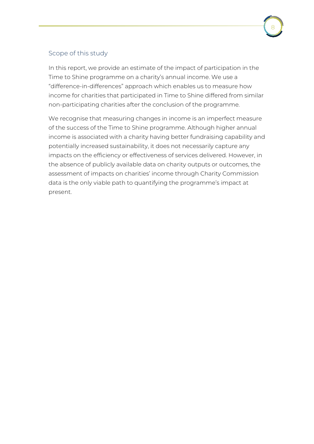### Scope of this study

In this report, we provide an estimate of the impact of participation in the Time to Shine programme on a charity's annual income. We use a "difference-in-differences" approach which enables us to measure how income for charities that participated in Time to Shine differed from similar non-participating charities after the conclusion of the programme.

We recognise that measuring changes in income is an imperfect measure of the success of the Time to Shine programme. Although higher annual income is associated with a charity having better fundraising capability and potentially increased sustainability, it does not necessarily capture any impacts on the efficiency or effectiveness of services delivered. However, in the absence of publicly available data on charity outputs or outcomes, the assessment of impacts on charities' income through Charity Commission data is the only viable path to quantifying the programme's impact at present.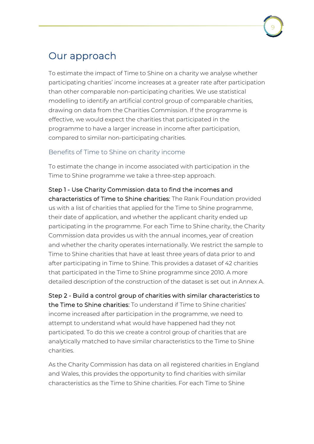## Our approach

To estimate the impact of Time to Shine on a charity we analyse whether participating charities' income increases at a greater rate after participation than other comparable non-participating charities. We use statistical modelling to identify an artificial control group of comparable charities, drawing on data from the Charities Commission. If the programme is effective, we would expect the charities that participated in the programme to have a larger increase in income after participation, compared to similar non-participating charities.

### Benefits of Time to Shine on charity income

To estimate the change in income associated with participation in the Time to Shine programme we take a three-step approach.

### Step 1 - Use Charity Commission data to find the incomes and

characteristics of Time to Shine charities: The Rank Foundation provided us with a list of charities that applied for the Time to Shine programme, their date of application, and whether the applicant charity ended up participating in the programme. For each Time to Shine charity, the Charity Commission data provides us with the annual incomes, year of creation and whether the charity operates internationally. We restrict the sample to Time to Shine charities that have at least three years of data prior to and after participating in Time to Shine. This provides a dataset of 42 charities that participated in the Time to Shine programme since 2010. A more detailed description of the construction of the dataset is set out in Annex A.

Step 2 - Build a control group of charities with similar characteristics to the Time to Shine charities: To understand if Time to Shine charities' income increased after participation in the programme, we need to attempt to understand what would have happened had they not participated. To do this we create a control group of charities that are analytically matched to have similar characteristics to the Time to Shine charities.

As the Charity Commission has data on all registered charities in England and Wales, this provides the opportunity to find charities with similar characteristics as the Time to Shine charities. For each Time to Shine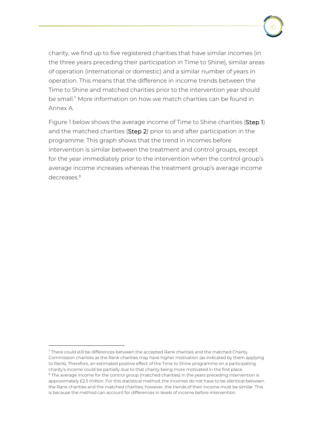charity, we find up to five registered charities that have similar incomes (in the three years preceding their participation in Time to Shine), similar areas of operation (international or domestic) and a similar number of years in operation. This means that the difference in income trends between the Time to Shine and matched charities prior to the intervention year should be small. [7](#page-9-0) More information on how we match charities can be found in Annex A.

Figure 1 below shows the average income of Time to Shine charities (Step 1) and the matched charities (Step 2) prior to and after participation in the programme. This graph shows that the trend in incomes before intervention is similar between the treatment and control groups, except for the year immediately prior to the intervention when the control group's average income increases whereas the treatment group's average income decreases<sup>[8](#page-9-1)</sup>

<span id="page-9-1"></span><span id="page-9-0"></span> $7$  There could still be differences between the accepted Rank charities and the matched Charity Commission charities as the Rank charities may have higher motivation (as indicated by them applying to Rank). Therefore, an estimated positive effect of the Time to Shine programme on a participating charity's income could be partially due to that charity being more motivated in the first place. <sup>8</sup> The average income for the control group (matched charities) in the years preceding intervention is approximately £2.5 million. For this statistical method, the incomes do not have to be identical between the Rank charities and the matched charities; however, the trends of their income must be similar. This is because the method can account for differences in levels of income before intervention.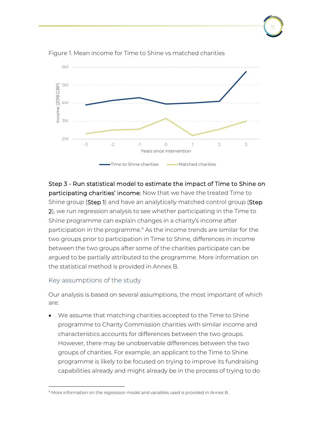

11

Figure 1. Mean income for Time to Shine vs matched charities

Step 3 - Run statistical model to estimate the impact of Time to Shine on participating charities' income: Now that we have the treated Time to Shine group (Step 1) and have an analytically matched control group (Step 2), we run regression analysis to see whether participating in the Time to Shine programme can explain changes in a charity's income after participation in the programme[.9](#page-10-0) As the income trends are similar for the two groups prior to participation in Time to Shine, differences in income between the two groups after some of the charities participate can be argued to be partially attributed to the programme. More information on the statistical method is provided in Annex B.

#### Key assumptions of the study

Our analysis is based on several assumptions, the most important of which are:

• We assume that matching charities accepted to the Time to Shine programme to Charity Commission charities with similar income and characteristics accounts for differences between the two groups. However, there may be unobservable differences between the two groups of charities. For example, an applicant to the Time to Shine programme is likely to be focused on trying to improve its fundraising capabilities already and might already be in the process of trying to do

<span id="page-10-0"></span><sup>9</sup> More information on the regression model and variables used is provided in Annex B.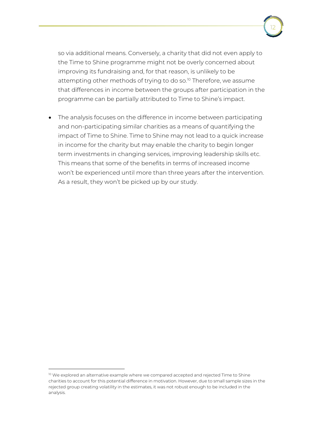so via additional means. Conversely, a charity that did not even apply to the Time to Shine programme might not be overly concerned about improving its fundraising and, for that reason, is unlikely to be attempting other methods of trying to do so.<sup>[10](#page-11-0)</sup> Therefore, we assume that differences in income between the groups after participation in the programme can be partially attributed to Time to Shine's impact.

• The analysis focuses on the difference in income between participating and non-participating similar charities as a means of quantifying the impact of Time to Shine. Time to Shine may not lead to a quick increase in income for the charity but may enable the charity to begin longer term investments in changing services, improving leadership skills etc. This means that some of the benefits in terms of increased income won't be experienced until more than three years after the intervention. As a result, they won't be picked up by our study.

<span id="page-11-0"></span><sup>&</sup>lt;sup>10</sup> We explored an alternative example where we compared accepted and rejected Time to Shine charities to account for this potential difference in motivation. However, due to small sample sizes in the rejected group creating volatility in the estimates, it was not robust enough to be included in the analysis.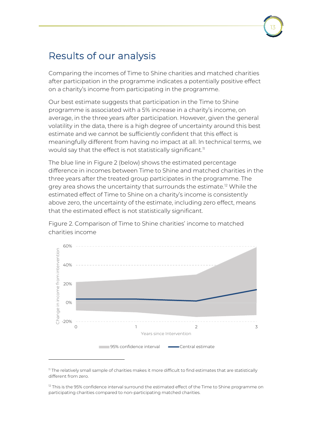## Results of our analysis

Comparing the incomes of Time to Shine charities and matched charities after participation in the programme indicates a potentially positive effect on a charity's income from participating in the programme.

Our best estimate suggests that participation in the Time to Shine programme is associated with a 5% increase in a charity's income, on average, in the three years after participation. However, given the general volatility in the data, there is a high degree of uncertainty around this best estimate and we cannot be sufficiently confident that this effect is meaningfully different from having no impact at all. In technical terms, we would say that the effect is not statistically significant. $^{\text{\tiny{11}}}$  $^{\text{\tiny{11}}}$  $^{\text{\tiny{11}}}$ 

The blue line in Figure 2 (below) shows the estimated percentage difference in incomes between Time to Shine and matched charities in the three years after the treated group participates in the programme. The grey area shows the uncertainty that surrounds the estimate.<sup>[12](#page-12-1)</sup> While the estimated effect of Time to Shine on a charity's income is consistently above zero, the uncertainty of the estimate, including zero effect, means that the estimated effect is not statistically significant.

Figure 2. Comparison of Time to Shine charities' income to matched charities income



<span id="page-12-0"></span><sup>&</sup>lt;sup>11</sup> The relatively small sample of charities makes it more difficult to find estimates that are statistically different from zero.

<span id="page-12-1"></span> $12$  This is the 95% confidence interval surround the estimated effect of the Time to Shine programme on participating charities compared to non-participating matched charities.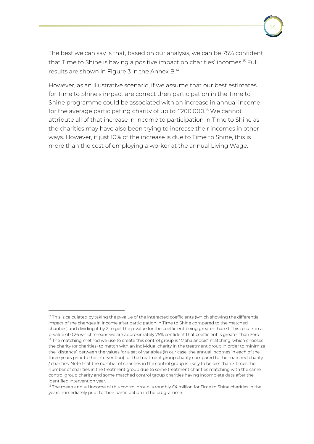The best we can say is that, based on our analysis, we can be 75% confident that Time to Shine is having a positive impact on charities' incomes.[13](#page-13-0) Full results are shown in Figure 3 in the Annex B.<sup>[14](#page-13-1)</sup>

However, as an illustrative scenario, if we assume that our best estimates for Time to Shine's impact are correct then participation in the Time to Shine programme could be associated with an increase in annual income for the average participating charity of up to £200,000.<sup>[15](#page-13-2)</sup> We cannot attribute all of that increase in income to participation in Time to Shine as the charities may have also been trying to increase their incomes in other ways. However, if just 10% of the increase is due to Time to Shine, this is more than the cost of employing a worker at the annual Living Wage.

<span id="page-13-1"></span><span id="page-13-0"></span> $13$  This is calculated by taking the p-value of the interacted coefficients (which showing the differential impact of the changes in income after participation in Time to Shine compared to the matched charities) and dividing it by 2 to get the p-value for the coefficient being greater than 0. This results in a p-value of 0.26 which means we are approximately 75% confident that coefficient is greater than zero.  $14$  The matching method we use to create this control group is "Mahalanobis" matching, which chooses the charity (or charities) to match with an individual charity in the treatment group in order to minimize the "distance" between the values for a set of variables (in our case, the annual incomes in each of the three years prior to the intervention) for the treatment group charity compared to the matched charity / charities. Note that the number of charities in the control group is likely to be less than x times the number of charities in the treatment group due to some treatment charities matching with the same control group charity and some matched control group charities having incomplete data after the identified intervention year.

<span id="page-13-2"></span><sup>&</sup>lt;sup>15</sup> The mean annual income of this control group is roughly £4 million for Time to Shine charities in the years immediately prior to their participation in the programme.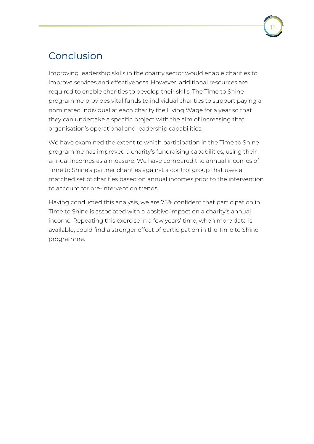## Conclusion

Improving leadership skills in the charity sector would enable charities to improve services and effectiveness. However, additional resources are required to enable charities to develop their skills. The Time to Shine programme provides vital funds to individual charities to support paying a nominated individual at each charity the Living Wage for a year so that they can undertake a specific project with the aim of increasing that organisation's operational and leadership capabilities.

We have examined the extent to which participation in the Time to Shine programme has improved a charity's fundraising capabilities, using their annual incomes as a measure. We have compared the annual incomes of Time to Shine's partner charities against a control group that uses a matched set of charities based on annual incomes prior to the intervention to account for pre-intervention trends.

Having conducted this analysis, we are 75% confident that participation in Time to Shine is associated with a positive impact on a charity's annual income. Repeating this exercise in a few years' time, when more data is available, could find a stronger effect of participation in the Time to Shine programme.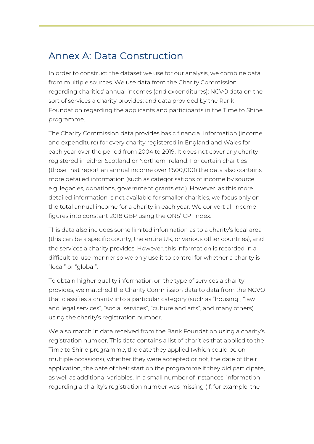## Annex A: Data Construction

In order to construct the dataset we use for our analysis, we combine data from multiple sources. We use data from the Charity Commission regarding charities' annual incomes (and expenditures); NCVO data on the sort of services a charity provides; and data provided by the Rank Foundation regarding the applicants and participants in the Time to Shine programme.

The Charity Commission data provides basic financial information (income and expenditure) for every charity registered in England and Wales for each year over the period from 2004 to 2019. It does not cover any charity registered in either Scotland or Northern Ireland. For certain charities (those that report an annual income over £500,000) the data also contains more detailed information (such as categorisations of income by source e.g. legacies, donations, government grants etc.). However, as this more detailed information is not available for smaller charities, we focus only on the total annual income for a charity in each year. We convert all income figures into constant 2018 GBP using the ONS' CPI index.

This data also includes some limited information as to a charity's local area (this can be a specific county, the entire UK, or various other countries), and the services a charity provides. However, this information is recorded in a difficult-to-use manner so we only use it to control for whether a charity is "local" or "global".

To obtain higher quality information on the type of services a charity provides, we matched the Charity Commission data to data from the NCVO that classifies a charity into a particular category (such as "housing", "law and legal services", "social services", "culture and arts", and many others) using the charity's registration number.

We also match in data received from the Rank Foundation using a charity's registration number. This data contains a list of charities that applied to the Time to Shine programme, the date they applied (which could be on multiple occasions), whether they were accepted or not, the date of their application, the date of their start on the programme if they did participate, as well as additional variables. In a small number of instances, information regarding a charity's registration number was missing (if, for example, the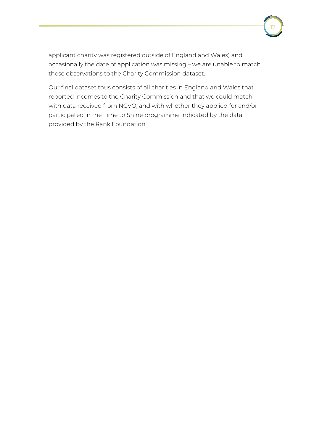applicant charity was registered outside of England and Wales) and occasionally the date of application was missing – we are unable to match these observations to the Charity Commission dataset.

17

Our final dataset thus consists of all charities in England and Wales that reported incomes to the Charity Commission and that we could match with data received from NCVO, and with whether they applied for and/or participated in the Time to Shine programme indicated by the data provided by the Rank Foundation.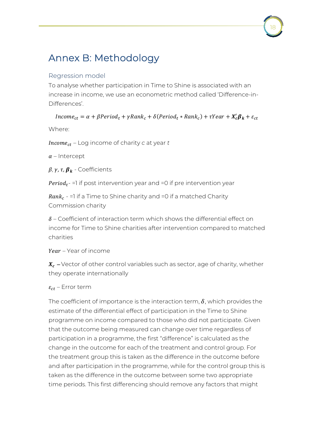# Annex B: Methodology

### Regression model

To analyse whether participation in Time to Shine is associated with an increase in income, we use an econometric method called 'Difference-in-Differences'.

 $Income_{ct} = \alpha + \beta Period_t + \gamma Rank_c + \delta (Period_t * Rank_c) + \tau Year + X_c'B_k + \varepsilon_{ct}$ 

Where:

– Log income of charity *c* at year *t*

 $\alpha$  – Intercept

 $\beta$ ,  $\gamma$ ,  $\tau$ ,  $\beta$ <sub>k</sub> - Coefficients

 $Period_t$  =1 if post intervention year and =0 if pre intervention year

 $Rank<sub>c</sub> = 1$  if a Time to Shine charity and =0 if a matched Charity Commission charity

 *–* Coefficient of interaction term which shows the differential effect on income for Time to Shine charities after intervention compared to matched charities

*–* Year of income

 $X_c$  – Vector of other control variables such as sector, age of charity, whether they operate internationally

*–* Error term

The coefficient of importance is the interaction term,  $\delta$ , which provides the estimate of the differential effect of participation in the Time to Shine programme on income compared to those who did not participate. Given that the outcome being measured can change over time regardless of participation in a programme, the first "difference" is calculated as the change in the outcome for each of the treatment and control group. For the treatment group this is taken as the difference in the outcome before and after participation in the programme, while for the control group this is taken as the difference in the outcome between some two appropriate time periods. This first differencing should remove any factors that might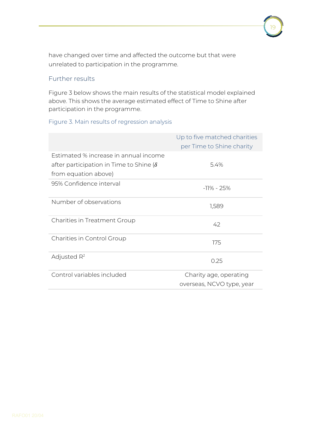have changed over time and affected the outcome but that were unrelated to participation in the programme.

### Further results

Figure 3 below shows the main results of the statistical model explained above. This shows the average estimated effect of Time to Shine after participation in the programme.

19

### Figure 3. Main results of regression analysis

|                                               | Up to five matched charities<br>per Time to Shine charity |
|-----------------------------------------------|-----------------------------------------------------------|
| Estimated % increase in annual income         |                                                           |
| after participation in Time to Shine $\delta$ | 5.4%                                                      |
| from equation above)                          |                                                           |
| 95% Confidence interval                       | $-11\% - 25\%$                                            |
| Number of observations                        | 1,589                                                     |
| Charities in Treatment Group                  | 42                                                        |
| Charities in Control Group                    | 175                                                       |
| Adjusted $R^2$                                | 0.25                                                      |
| Control variables included                    | Charity age, operating                                    |
|                                               | overseas, NCVO type, year                                 |